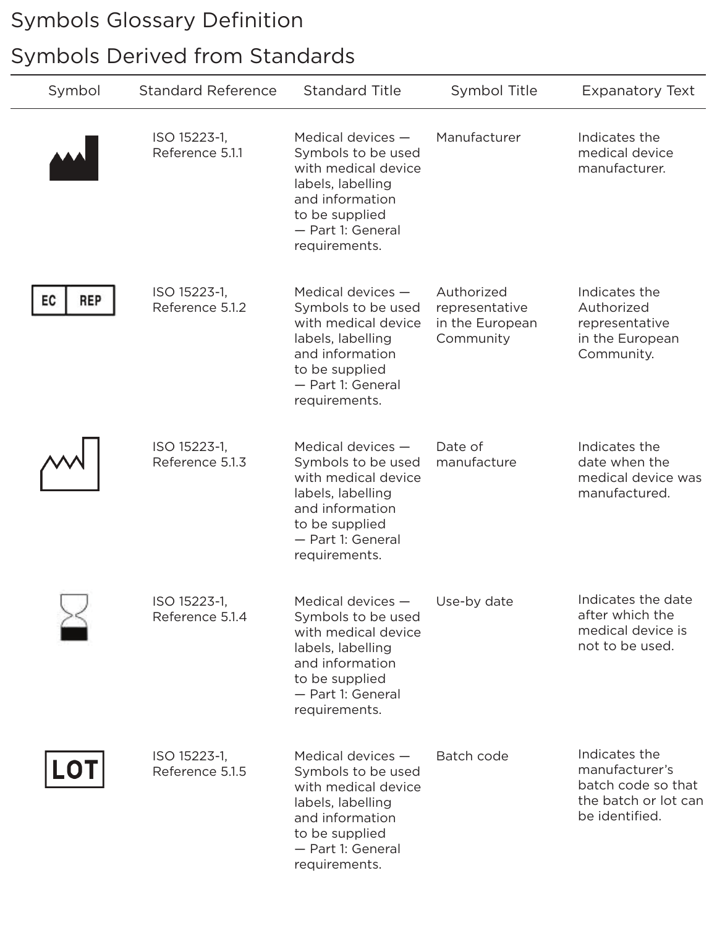## Symbols Glossary Definition

## Symbols Derived from Standards

| Symbol           | <b>Standard Reference</b>       | <b>Standard Title</b>                                                                                                                                            | Symbol Title                                                 | <b>Expanatory Text</b>                                                                          |
|------------------|---------------------------------|------------------------------------------------------------------------------------------------------------------------------------------------------------------|--------------------------------------------------------------|-------------------------------------------------------------------------------------------------|
|                  | ISO 15223-1,<br>Reference 5.1.1 | Medical devices $-$<br>Symbols to be used<br>with medical device<br>labels, labelling<br>and information<br>to be supplied<br>- Part 1: General<br>requirements. | Manufacturer                                                 | Indicates the<br>medical device<br>manufacturer.                                                |
| <b>REP</b><br>EC | ISO 15223-1,<br>Reference 5.1.2 | Medical devices $-$<br>Symbols to be used<br>with medical device<br>labels, labelling<br>and information<br>to be supplied<br>- Part 1: General<br>requirements. | Authorized<br>representative<br>in the European<br>Community | Indicates the<br>Authorized<br>representative<br>in the European<br>Community.                  |
|                  | ISO 15223-1,<br>Reference 5.1.3 | Medical devices $-$<br>Symbols to be used<br>with medical device<br>labels, labelling<br>and information<br>to be supplied<br>- Part 1: General<br>requirements. | Date of<br>manufacture                                       | Indicates the<br>date when the<br>medical device was<br>manufactured.                           |
|                  | ISO 15223-1.<br>Reference 5.1.4 | Medical devices -<br>Symbols to be used<br>with medical device<br>labels, labelling<br>and information<br>to be supplied<br>- Part 1: General<br>requirements.   | Use-by date                                                  | Indicates the date<br>after which the<br>medical device is<br>not to be used.                   |
| <b>LOT</b>       | ISO 15223-1,<br>Reference 5.1.5 | Medical devices $-$<br>Symbols to be used<br>with medical device<br>labels, labelling<br>and information<br>to be supplied<br>- Part 1: General<br>requirements. | Batch code                                                   | Indicates the<br>manufacturer's<br>batch code so that<br>the batch or lot can<br>be identified. |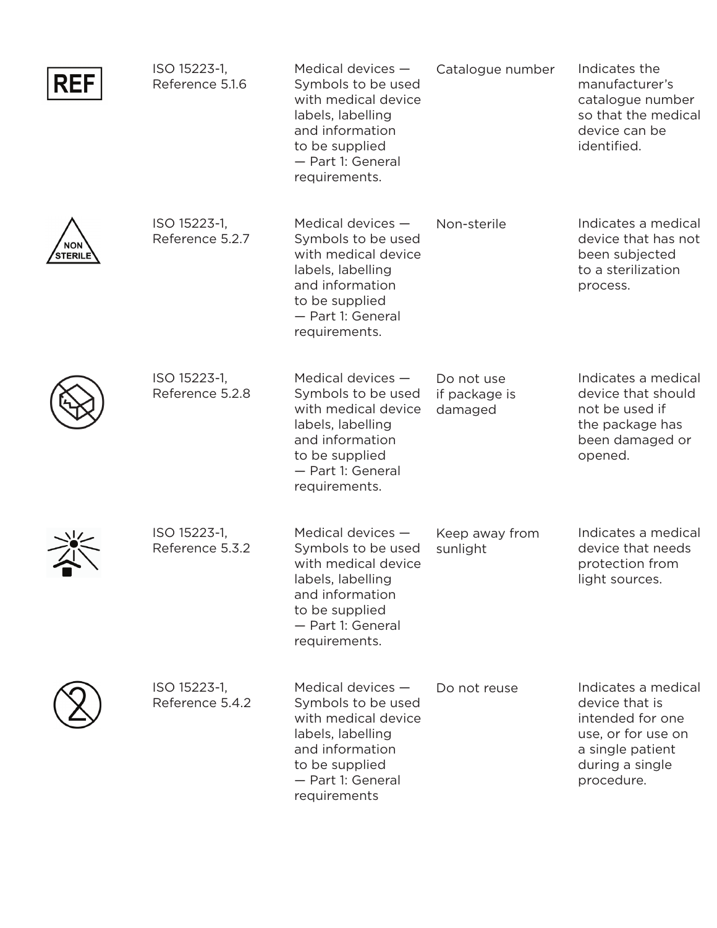| <b>REF</b>                   | ISO 15223-1,<br>Reference 5.1.6 | Medical devices -<br>Symbols to be used<br>with medical device<br>labels, labelling<br>and information<br>to be supplied<br>- Part 1: General<br>requirements.   | Catalogue number                       | Indicates the<br>manufacturer's<br>catalogue number<br>so that the medical<br>device can be<br>identified.                           |
|------------------------------|---------------------------------|------------------------------------------------------------------------------------------------------------------------------------------------------------------|----------------------------------------|--------------------------------------------------------------------------------------------------------------------------------------|
| <b>NON</b><br><b>STERILE</b> | ISO 15223-1,<br>Reference 5.2.7 | Medical devices $-$<br>Symbols to be used<br>with medical device<br>labels, labelling<br>and information<br>to be supplied<br>- Part 1: General<br>requirements. | Non-sterile                            | Indicates a medical<br>device that has not<br>been subjected<br>to a sterilization<br>process.                                       |
|                              | ISO 15223-1,<br>Reference 5.2.8 | Medical devices -<br>Symbols to be used<br>with medical device<br>labels, labelling<br>and information<br>to be supplied<br>- Part 1: General<br>requirements.   | Do not use<br>if package is<br>damaged | Indicates a medical<br>device that should<br>not be used if<br>the package has<br>been damaged or<br>opened.                         |
|                              | ISO 15223-1,<br>Reference 5.3.2 | Medical devices -<br>Symbols to be used<br>with medical device<br>labels, labelling<br>and information<br>to be supplied<br>- Part 1: General<br>requirements.   | Keep away from<br>sunlight             | Indicates a medical<br>device that needs<br>protection from<br>light sources.                                                        |
|                              | ISO 15223-1,<br>Reference 5.4.2 | Medical devices -<br>Symbols to be used<br>with medical device<br>labels, labelling<br>and information<br>to be supplied<br>- Part 1: General<br>requirements    | Do not reuse                           | Indicates a medical<br>device that is<br>intended for one<br>use, or for use on<br>a single patient<br>during a single<br>procedure. |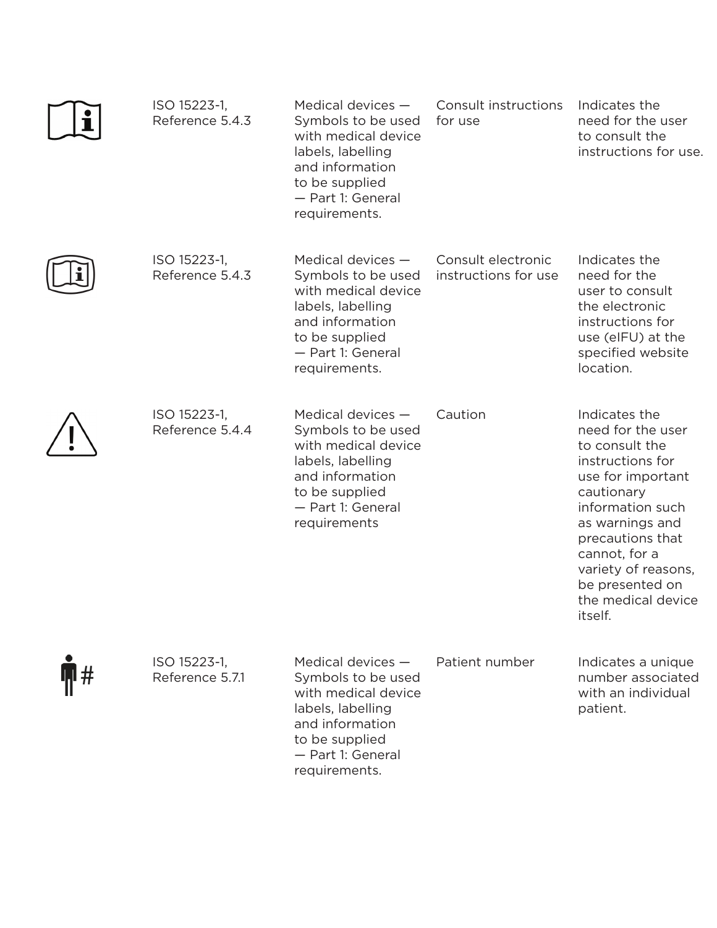|    | ISO 15223-1,<br>Reference 5.4.3 | Medical devices $-$<br>Symbols to be used<br>with medical device<br>labels, labelling<br>and information<br>to be supplied<br>- Part 1: General<br>requirements. | Consult instructions<br>for use            | Indicates the<br>need for the user<br>to consult the<br>instructions for use.                                                                                                                                                                                      |
|----|---------------------------------|------------------------------------------------------------------------------------------------------------------------------------------------------------------|--------------------------------------------|--------------------------------------------------------------------------------------------------------------------------------------------------------------------------------------------------------------------------------------------------------------------|
|    | ISO 15223-1,<br>Reference 5.4.3 | Medical devices $-$<br>Symbols to be used<br>with medical device<br>labels, labelling<br>and information<br>to be supplied<br>- Part 1: General<br>requirements. | Consult electronic<br>instructions for use | Indicates the<br>need for the<br>user to consult<br>the electronic<br>instructions for<br>use (eIFU) at the<br>specified website<br>location.                                                                                                                      |
|    | ISO 15223-1,<br>Reference 5.4.4 | Medical devices $-$<br>Symbols to be used<br>with medical device<br>labels, labelling<br>and information<br>to be supplied<br>- Part 1: General<br>requirements  | Caution                                    | Indicates the<br>need for the user<br>to consult the<br>instructions for<br>use for important<br>cautionary<br>information such<br>as warnings and<br>precautions that<br>cannot, for a<br>variety of reasons,<br>be presented on<br>the medical device<br>itself. |
| l# | ISO 15223-1,<br>Reference 5.7.1 | Medical devices $-$<br>Symbols to be used<br>with medical device<br>labels, labelling<br>and information<br>to be supplied<br>- Part 1: General                  | Patient number                             | Indicates a unique<br>number associated<br>with an individual<br>patient.                                                                                                                                                                                          |

requirements.